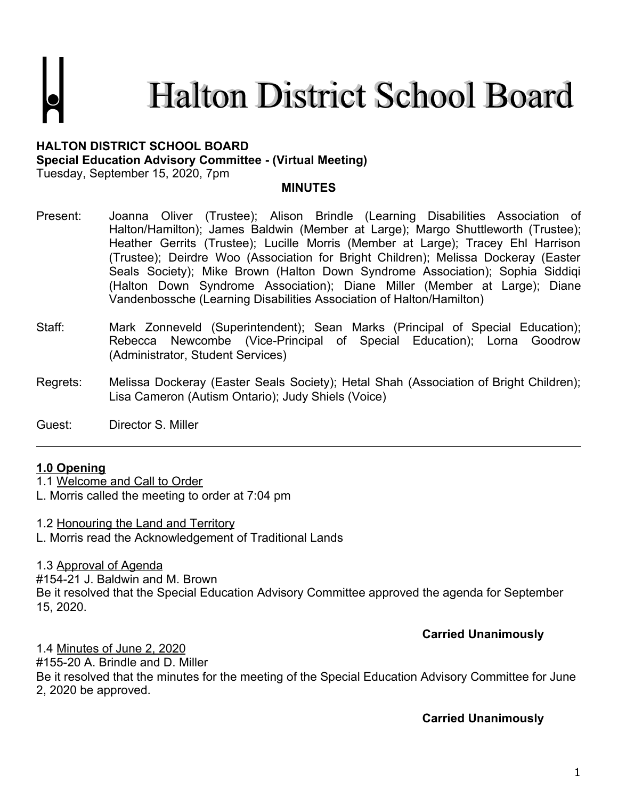# **Halton District School Board**

## **HALTON DISTRICT SCHOOL BOARD Special Education Advisory Committee - (Virtual Meeting)**

Tuesday, September 15, 2020, 7pm

#### **MINUTES**

- Present: Joanna Oliver (Trustee); Alison Brindle (Learning Disabilities Association of Halton/Hamilton); James Baldwin (Member at Large); Margo Shuttleworth (Trustee); Heather Gerrits (Trustee); Lucille Morris (Member at Large); Tracey Ehl Harrison (Trustee); Deirdre Woo (Association for Bright Children); Melissa Dockeray (Easter Seals Society); Mike Brown (Halton Down Syndrome Association); Sophia Siddiqi (Halton Down Syndrome Association); Diane Miller (Member at Large); Diane Vandenbossche (Learning Disabilities Association of Halton/Hamilton)
- Staff: Mark Zonneveld (Superintendent); Sean Marks (Principal of Special Education); Rebecca Newcombe (Vice-Principal of Special Education); Lorna Goodrow (Administrator, Student Services)
- Regrets: Melissa Dockeray (Easter Seals Society); Hetal Shah (Association of Bright Children); Lisa Cameron (Autism Ontario); Judy Shiels (Voice)
- Guest: Director S. Miller

#### **1.0 Opening**

- 1.1 Welcome and Call to Order
- L. Morris called the meeting to order at 7:04 pm

1.2 Honouring the Land and Territory L. Morris read the Acknowledgement of Traditional Lands

1.3 Approval of Agenda #154-21 J. Baldwin and M. Brown Be it resolved that the Special Education Advisory Committee approved the agenda for September 15, 2020.

#### **Carried Unanimously**

1.4 Minutes of June 2, 2020 #155-20 A. Brindle and D. Miller Be it resolved that the minutes for the meeting of the Special Education Advisory Committee for June 2, 2020 be approved.

**Carried Unanimously**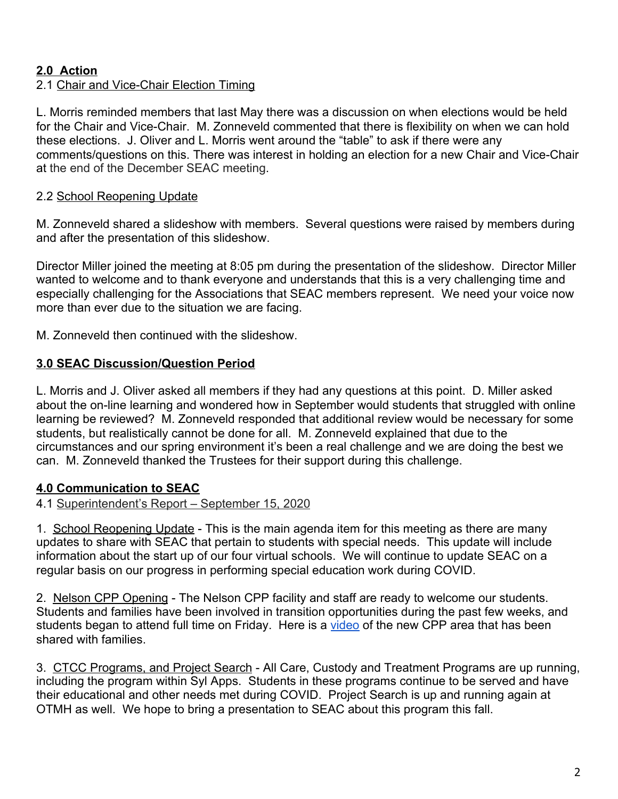## **2.0 Action**

#### 2.1 Chair and Vice-Chair Election Timing

L. Morris reminded members that last May there was a discussion on when elections would be held for the Chair and Vice-Chair. M. Zonneveld commented that there is flexibility on when we can hold these elections. J. Oliver and L. Morris went around the "table" to ask if there were any comments/questions on this. There was interest in holding an election for a new Chair and Vice-Chair at the end of the December SEAC meeting.

#### 2.2 School Reopening Update

M. Zonneveld shared a slideshow with members. Several questions were raised by members during and after the presentation of this slideshow.

Director Miller joined the meeting at 8:05 pm during the presentation of the slideshow. Director Miller wanted to welcome and to thank everyone and understands that this is a very challenging time and especially challenging for the Associations that SEAC members represent. We need your voice now more than ever due to the situation we are facing.

M. Zonneveld then continued with the slideshow.

## **3.0 SEAC Discussion/Question Period**

L. Morris and J. Oliver asked all members if they had any questions at this point. D. Miller asked about the on-line learning and wondered how in September would students that struggled with online learning be reviewed? M. Zonneveld responded that additional review would be necessary for some students, but realistically cannot be done for all. M. Zonneveld explained that due to the circumstances and our spring environment it's been a real challenge and we are doing the best we can. M. Zonneveld thanked the Trustees for their support during this challenge.

## **4.0 Communication to SEAC**

4.1 Superintendent's Report – September 15, 2020

1. School Reopening Update - This is the main agenda item for this meeting as there are many updates to share with SEAC that pertain to students with special needs. This update will include information about the start up of our four virtual schools. We will continue to update SEAC on a regular basis on our progress in performing special education work during COVID.

2. Nelson CPP Opening - The Nelson CPP facility and staff are ready to welcome our students. Students and families have been involved in transition opportunities during the past few weeks, and students began to attend full time on Friday. Here is a [video](https://youtu.be/A-ynJlb9M8g) of the new CPP area that has been shared with families.

3. CTCC Programs, and Project Search - All Care, Custody and Treatment Programs are up running, including the program within Syl Apps. Students in these programs continue to be served and have their educational and other needs met during COVID. Project Search is up and running again at OTMH as well. We hope to bring a presentation to SEAC about this program this fall.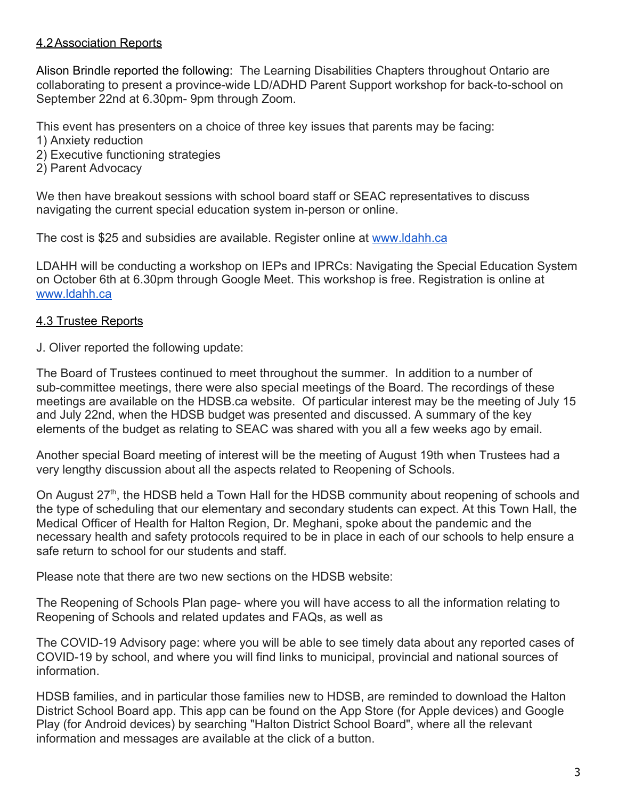#### 4.2Association Reports

Alison Brindle reported the following: The Learning Disabilities Chapters throughout Ontario are collaborating to present a province-wide LD/ADHD Parent Support workshop for back-to-school on September 22nd at 6.30pm- 9pm through Zoom.

This event has presenters on a choice of three key issues that parents may be facing:

- 1) Anxiety reduction
- 2) Executive functioning strategies
- 2) Parent Advocacy

We then have breakout sessions with school board staff or SEAC representatives to discuss navigating the current special education system in-person or online.

The cost is \$25 and subsidies are available. Register online at [www.ldahh.ca](http://www.ldahh.ca/)

LDAHH will be conducting a workshop on IEPs and IPRCs: Navigating the Special Education System on October 6th at 6.30pm through Google Meet. This workshop is free. Registration is online at [www.ldahh.ca](http://www.ldahh.ca/)

#### 4.3 Trustee Reports

J. Oliver reported the following update:

The Board of Trustees continued to meet throughout the summer. In addition to a number of sub-committee meetings, there were also special meetings of the Board. The recordings of these meetings are available on the HDSB.ca website. Of particular interest may be the meeting of July 15 and July 22nd, when the HDSB budget was presented and discussed. A summary of the key elements of the budget as relating to SEAC was shared with you all a few weeks ago by email.

Another special Board meeting of interest will be the meeting of August 19th when Trustees had a very lengthy discussion about all the aspects related to Reopening of Schools.

On August 27<sup>th</sup>, the HDSB held a Town Hall for the HDSB community about reopening of schools and the type of scheduling that our elementary and secondary students can expect. At this Town Hall, the Medical Officer of Health for Halton Region, Dr. Meghani, spoke about the pandemic and the necessary health and safety protocols required to be in place in each of our schools to help ensure a safe return to school for our students and staff.

Please note that there are two new sections on the HDSB website:

The Reopening of Schools Plan page- where you will have access to all the information relating to Reopening of Schools and related updates and FAQs, as well as

The COVID-19 Advisory page: where you will be able to see timely data about any reported cases of COVID-19 by school, and where you will find links to municipal, provincial and national sources of information.

HDSB families, and in particular those families new to HDSB, are reminded to download the Halton District School Board app. This app can be found on the App Store (for Apple devices) and Google Play (for Android devices) by searching "Halton District School Board", where all the relevant information and messages are available at the click of a button.